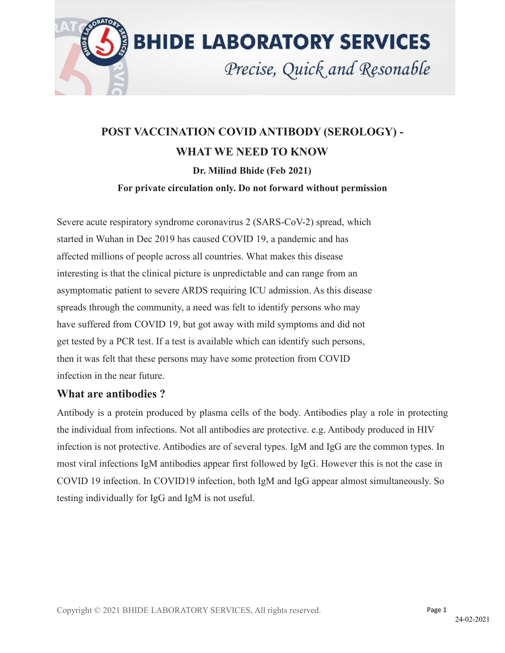

# **POST VACCINATION COVID ANTIBODY (SEROLOGY) - WHAT WE NEED TO KNOW Dr. Milind Bhide (Feb 2021) For private circulation only. Do not forward without permission**

Severe acute respiratory syndrome coronavirus 2 (SARS-CoV-2) spread, which started in Wuhan in Dec 2019 has caused COVID 19, a pandemic and has affected millions of people across all countries. What makes this disease interesting is that the clinical picture is unpredictable and can range from an asymptomatic patient to severe ARDS requiring ICU admission. As this disease spreads through the community, a need was felt to identify persons who may have suffered from COVID 19, but got away with mild symptoms and did not get tested by a PCR test. If a test is available which can identify such persons, then it was felt that these persons may have some protection from COVID infection in the near future.

## **What are antibodies ?**

Antibody is a protein produced by plasma cells of the body. Antibodies play a role in protecting the individual from infections. Not all antibodies are protective. e.g. Antibody produced in HIV infection is not protective. Antibodies are of several types. IgM and IgG are the common types. In most viral infections IgM antibodies appear first followed by IgG. However this is not the case in COVID 19 infection. In COVID19 infection, both IgM and IgG appear almost simultaneously. So testing individually for IgG and IgM is not useful.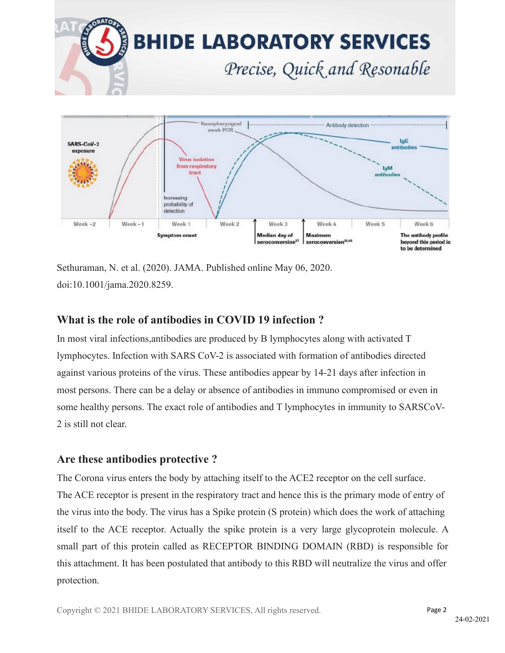

Sethuraman, N. et al. (2020). JAMA. Published online May 06, 2020. doi:10.1001/jama.2020.8259.

## **What is the role of antibodies in COVID 19 infection ?**

In most viral infections, antibodies are produced by  $\overline{B}$  lymphocytes along with activated  $\overline{T}$ lymphocytes. Infection with SARS CoV-2 is associated with formation of antibodies directed against various proteins of the virus. These antibodies appear by 14-21 days after infection in most persons. There can be a delay or absence of antibodies in immuno compromised or even in some healthy persons. The exact role of antibodies and T lymphocytes in immunity to SARSCoV- 2 is still not clear.

## **Are these antibodies protective ?**

The Corona virus enters the body by attaching itself to the ACE2 receptor on the cell surface. The ACE receptor is present in the respiratory tract and hence this is the primary mode of entry of the virus into the body. The virus has a Spike protein (S protein) which doesthe work of attaching itself to the ACE receptor. Actually the spike protein is a very large glycoprotein molecule. A small part of this protein called as RECEPTOR BINDING DOMAIN (RBD) is responsible for this attachment. It has been postulated that antibody to this RBD will neutralize the virus and offer protection.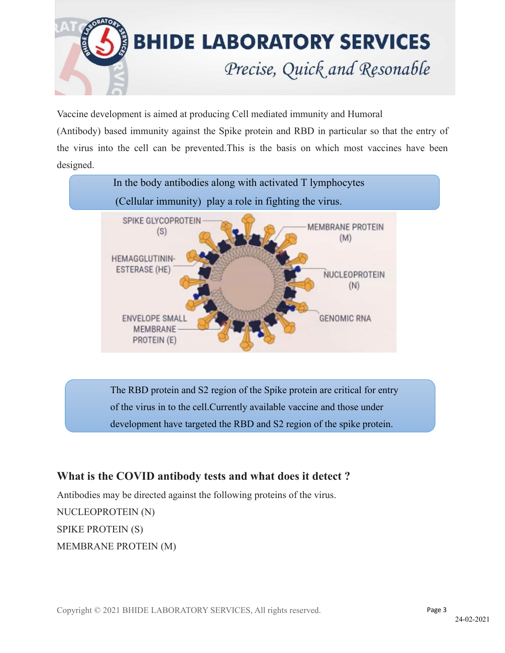

Vaccine development is aimed at producing Cell mediated immunity and Humoral

(Antibody) based immunity against the Spike protein and RBD in particular so that the entry of the virus into the cell can be prevented.This is the basis on which most vaccines have been designed.



The RBD protein and S2 region of the Spike protein are critical for entry of the virus in to the cell.Currently available vaccine and those under development have targeted the RBD and S2 region of the spike protein.

# **What is the COVID antibody tests and what does it detect ?**

Antibodies may be directed against the following proteins of the virus. NUCLEOPROTEIN (N) SPIKE PROTEIN (S) MEMBRANE PROTEIN (M)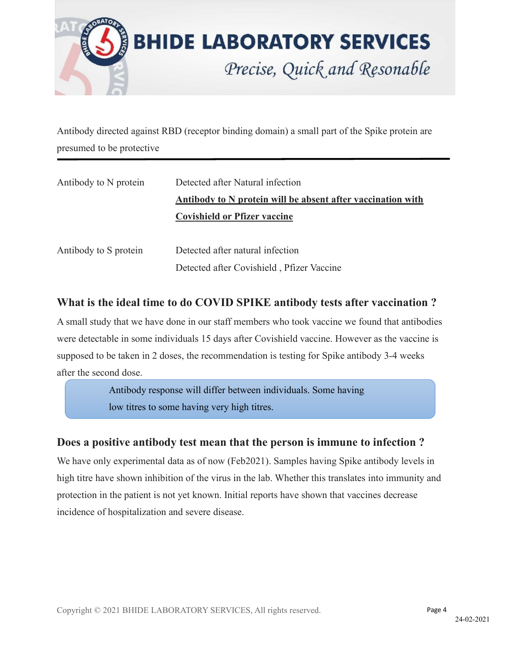

Antibody directed against RBD (receptor binding domain) a small part of the Spike protein are presumed to be protective

| Antibody to N protein | Detected after Natural infection                            |
|-----------------------|-------------------------------------------------------------|
|                       | Antibody to N protein will be absent after vaccination with |
|                       | <b>Covishield or Pfizer vaccine</b>                         |
|                       |                                                             |
| Antibody to S protein | Detected after natural infection                            |
|                       | Detected after Covishield, Pfizer Vaccine                   |

## **What is the ideal time to do COVID SPIKE antibody testsafter vaccination ?**

A small study that we have done in our staff members who took vaccine we found that antibodies were detectable in some individuals 15 days after Covishield vaccine. However as the vaccine is supposed to be taken in 2 doses, the recommendation is testing for Spike antibody 3-4 weeks after the second dose.

> Antibody response will differ between individuals. Some having low titres to some having very high titres.

## **Does a positive antibody test mean that the person is immune to infection ?**

We have only experimental data as of now (Feb2021). Samples having Spike antibody levels in high titre have shown inhibition of the virus in the lab. Whether this translates into immunity and protection in the patient is not yet known. Initial reports have shown that vaccines decrease incidence of hospitalization and severe disease.